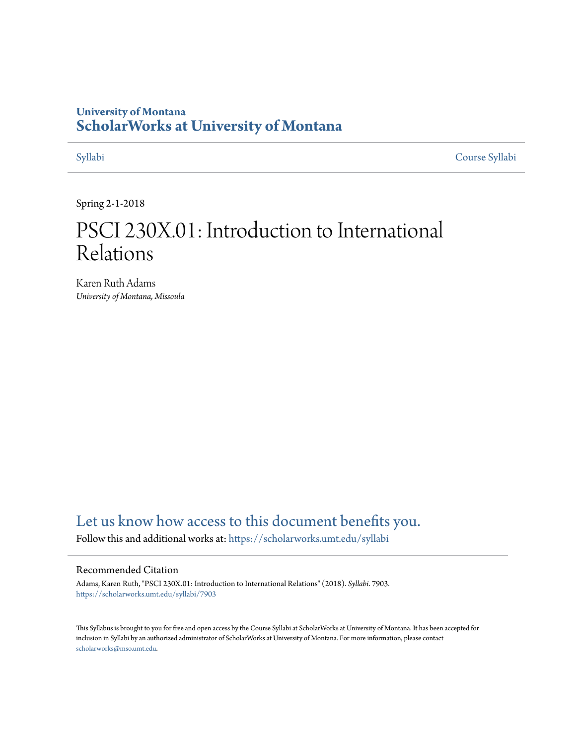# **University of Montana [ScholarWorks at University of Montana](https://scholarworks.umt.edu?utm_source=scholarworks.umt.edu%2Fsyllabi%2F7903&utm_medium=PDF&utm_campaign=PDFCoverPages)**

[Syllabi](https://scholarworks.umt.edu/syllabi?utm_source=scholarworks.umt.edu%2Fsyllabi%2F7903&utm_medium=PDF&utm_campaign=PDFCoverPages) [Course Syllabi](https://scholarworks.umt.edu/course_syllabi?utm_source=scholarworks.umt.edu%2Fsyllabi%2F7903&utm_medium=PDF&utm_campaign=PDFCoverPages)

Spring 2-1-2018

# PSCI 230X.01: Introduction to International Relations

Karen Ruth Adams *University of Montana, Missoula*

# [Let us know how access to this document benefits you.](https://goo.gl/forms/s2rGfXOLzz71qgsB2)

Follow this and additional works at: [https://scholarworks.umt.edu/syllabi](https://scholarworks.umt.edu/syllabi?utm_source=scholarworks.umt.edu%2Fsyllabi%2F7903&utm_medium=PDF&utm_campaign=PDFCoverPages)

#### Recommended Citation

Adams, Karen Ruth, "PSCI 230X.01: Introduction to International Relations" (2018). *Syllabi*. 7903. [https://scholarworks.umt.edu/syllabi/7903](https://scholarworks.umt.edu/syllabi/7903?utm_source=scholarworks.umt.edu%2Fsyllabi%2F7903&utm_medium=PDF&utm_campaign=PDFCoverPages)

This Syllabus is brought to you for free and open access by the Course Syllabi at ScholarWorks at University of Montana. It has been accepted for inclusion in Syllabi by an authorized administrator of ScholarWorks at University of Montana. For more information, please contact [scholarworks@mso.umt.edu](mailto:scholarworks@mso.umt.edu).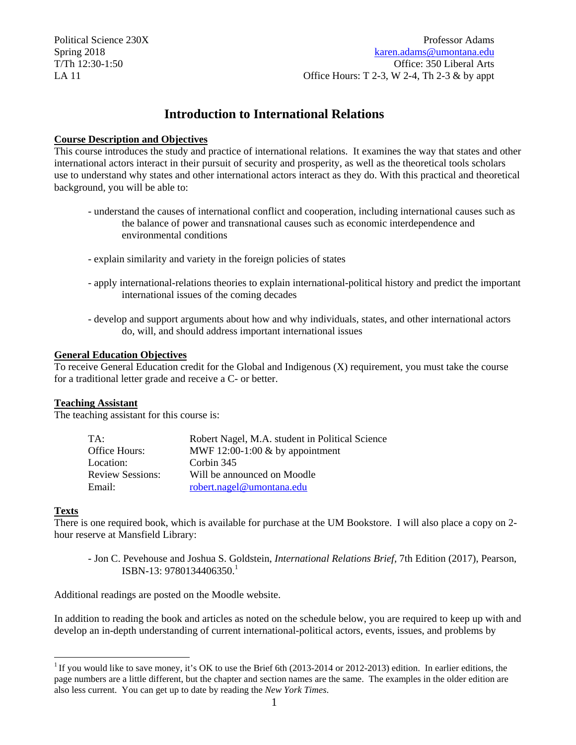Political Science 230X Professor Adams Spring 2018 karen.adams@umontana.edu T/Th 12:30-1:50 Office: 350 Liberal Arts LA 11 **Contract Contract Contract Contract Contract Contract Contract Contract Contract Contract Contract Contract Contract Contract Contract Contract Contract Contract Contract Contract Contract Contract Contract Contract** 

# **Introduction to International Relations**

#### **Course Description and Objectives**

This course introduces the study and practice of international relations. It examines the way that states and other international actors interact in their pursuit of security and prosperity, as well as the theoretical tools scholars use to understand why states and other international actors interact as they do. With this practical and theoretical background, you will be able to:

- understand the causes of international conflict and cooperation, including international causes such as the balance of power and transnational causes such as economic interdependence and environmental conditions
- explain similarity and variety in the foreign policies of states
- apply international-relations theories to explain international-political history and predict the important international issues of the coming decades
- develop and support arguments about how and why individuals, states, and other international actors do, will, and should address important international issues

#### **General Education Objectives**

To receive General Education credit for the Global and Indigenous (X) requirement, you must take the course for a traditional letter grade and receive a C- or better.

#### **Teaching Assistant**

The teaching assistant for this course is:

| TA:                     | Robert Nagel, M.A. student in Political Science |
|-------------------------|-------------------------------------------------|
| Office Hours:           | MWF 12:00-1:00 $&$ by appointment               |
| Location:               | Corbin 345                                      |
| <b>Review Sessions:</b> | Will be announced on Moodle                     |
| Email:                  | robert.nagel@umontana.edu                       |

#### **Texts**

 $\overline{a}$ 

There is one required book, which is available for purchase at the UM Bookstore. I will also place a copy on 2 hour reserve at Mansfield Library:

ISBN-13: 9780134406350.<sup>1</sup> - Jon C. Pevehouse and Joshua S. Goldstein, *International Relations Brief,* 7th Edition (2017), Pearson,

Additional readings are posted on the Moodle website.

In addition to reading the book and articles as noted on the schedule below, you are required to keep up with and develop an in-depth understanding of current international-political actors, events, issues, and problems by

<sup>&</sup>lt;sup>1</sup> If you would like to save money, it's OK to use the Brief 6th (2013-2014 or 2012-2013) edition. In earlier editions, the page numbers are a little different, but the chapter and section names are the same. The examples in the older edition are also less current. You can get up to date by reading the *New York Times*.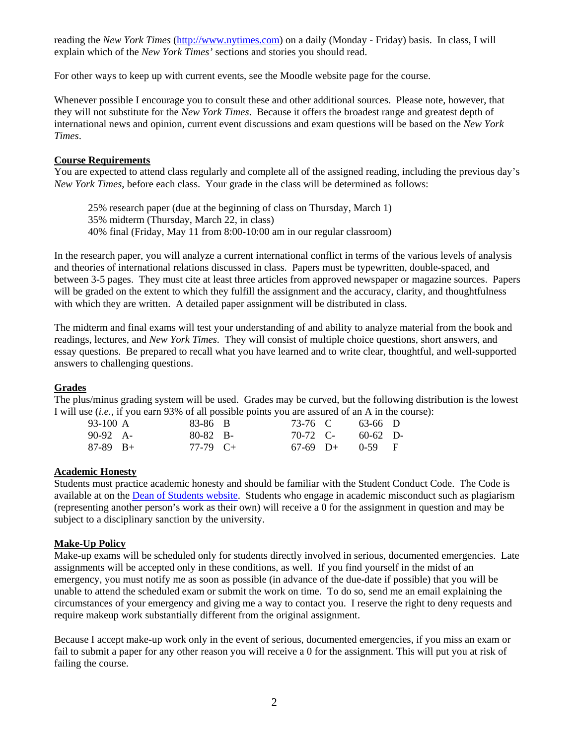reading the *New York Times* (http://www.nytimes.com) on a daily (Monday - Friday) basis. In class, I will explain which of the *New York Times'* sections and stories you should read.

For other ways to keep up with current events, see the Moodle website page for the course.

Whenever possible I encourage you to consult these and other additional sources. Please note, however, that they will not substitute for the *New York Times*. Because it offers the broadest range and greatest depth of international news and opinion, current event discussions and exam questions will be based on the *New York Times*.

#### **Course Requirements**

You are expected to attend class regularly and complete all of the assigned reading, including the previous day's *New York Times*, before each class. Your grade in the class will be determined as follows:

25% research paper (due at the beginning of class on Thursday, March 1)

35% midterm (Thursday, March 22, in class)

40% final (Friday, May 11 from 8:00-10:00 am in our regular classroom)

In the research paper, you will analyze a current international conflict in terms of the various levels of analysis and theories of international relations discussed in class. Papers must be typewritten, double-spaced, and between 3-5 pages. They must cite at least three articles from approved newspaper or magazine sources. Papers will be graded on the extent to which they fulfill the assignment and the accuracy, clarity, and thoughtfulness with which they are written. A detailed paper assignment will be distributed in class.

The midterm and final exams will test your understanding of and ability to analyze material from the book and readings, lectures, and *New York Times*. They will consist of multiple choice questions, short answers, and essay questions. Be prepared to recall what you have learned and to write clear, thoughtful, and well-supported answers to challenging questions.

#### **Grades**

The plus/minus grading system will be used. Grades may be curved, but the following distribution is the lowest I will use (*i.e.,* if you earn 93% of all possible points you are assured of an A in the course):

| 93-100 A   | 83-86 B         |  | 73-76 C 63-66 D     |  |
|------------|-----------------|--|---------------------|--|
| $90-92$ A- | $80-82$ B-      |  | 70-72 C- 60-62 D-   |  |
| $87-89$ B+ | 77-79 $C_{\pm}$ |  | $67-69$ D+ $0-59$ F |  |

#### **Academic Honesty**

Students must practice academic honesty and should be familiar with the Student Conduct Code. The Code is available at on the Dean of Students website. Students who engage in academic misconduct such as plagiarism (representing another person's work as their own) will receive a 0 for the assignment in question and may be subject to a disciplinary sanction by the university.

#### **Make-Up Policy**

Make-up exams will be scheduled only for students directly involved in serious, documented emergencies. Late assignments will be accepted only in these conditions, as well. If you find yourself in the midst of an emergency, you must notify me as soon as possible (in advance of the due-date if possible) that you will be unable to attend the scheduled exam or submit the work on time. To do so, send me an email explaining the circumstances of your emergency and giving me a way to contact you. I reserve the right to deny requests and require makeup work substantially different from the original assignment.

Because I accept make-up work only in the event of serious, documented emergencies, if you miss an exam or fail to submit a paper for any other reason you will receive a 0 for the assignment. This will put you at risk of failing the course.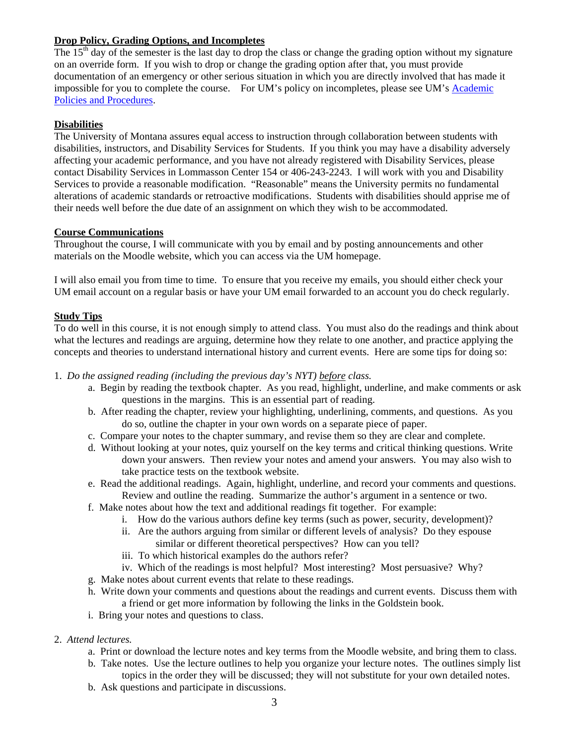#### **Drop Policy, Grading Options, and Incompletes**

The  $15<sup>th</sup>$  day of the semester is the last day to drop the class or change the grading option without my signature on an override form. If you wish to drop or change the grading option after that, you must provide documentation of an emergency or other serious situation in which you are directly involved that has made it impossible for you to complete the course. For UM's policy on incompletes, please see UM's Academic Policies and Procedures.

### **Disabilities**

The University of Montana assures equal access to instruction through collaboration between students with disabilities, instructors, and Disability Services for Students. If you think you may have a disability adversely affecting your academic performance, and you have not already registered with Disability Services, please contact Disability Services in Lommasson Center 154 or 406-243-2243. I will work with you and Disability Services to provide a reasonable modification. "Reasonable" means the University permits no fundamental alterations of academic standards or retroactive modifications. Students with disabilities should apprise me of their needs well before the due date of an assignment on which they wish to be accommodated.

### **Course Communications**

Throughout the course, I will communicate with you by email and by posting announcements and other materials on the Moodle website, which you can access via the UM homepage.

I will also email you from time to time. To ensure that you receive my emails, you should either check your UM email account on a regular basis or have your UM email forwarded to an account you do check regularly.

#### **Study Tips**

To do well in this course, it is not enough simply to attend class. You must also do the readings and think about what the lectures and readings are arguing, determine how they relate to one another, and practice applying the concepts and theories to understand international history and current events. Here are some tips for doing so:

#### 1. *Do the assigned reading (including the previous day's NYT) before class.*

- a. Begin by reading the textbook chapter. As you read, highlight, underline, and make comments or ask questions in the margins. This is an essential part of reading.
- b. After reading the chapter, review your highlighting, underlining, comments, and questions. As you do so, outline the chapter in your own words on a separate piece of paper.
- c. Compare your notes to the chapter summary, and revise them so they are clear and complete.
- d. Without looking at your notes, quiz yourself on the key terms and critical thinking questions. Write down your answers. Then review your notes and amend your answers. You may also wish to take practice tests on the textbook website.
- e. Read the additional readings. Again, highlight, underline, and record your comments and questions. Review and outline the reading. Summarize the author's argument in a sentence or two.
- f. Make notes about how the text and additional readings fit together. For example:
	- i. How do the various authors define key terms (such as power, security, development)?
	- ii. Are the authors arguing from similar or different levels of analysis? Do they espouse similar or different theoretical perspectives? How can you tell?
	- iii. To which historical examples do the authors refer?
- iv. Which of the readings is most helpful? Most interesting? Most persuasive? Why? g. Make notes about current events that relate to these readings.
- 
- h. Write down your comments and questions about the readings and current events. Discuss them with a friend or get more information by following the links in the Goldstein book.
- i. Bring your notes and questions to class.
- 2. *Attend lectures.* 
	- a. Print or download the lecture notes and key terms from the Moodle website, and bring them to class.
	- b. Take notes. Use the lecture outlines to help you organize your lecture notes. The outlines simply list topics in the order they will be discussed; they will not substitute for your own detailed notes.
	- b. Ask questions and participate in discussions.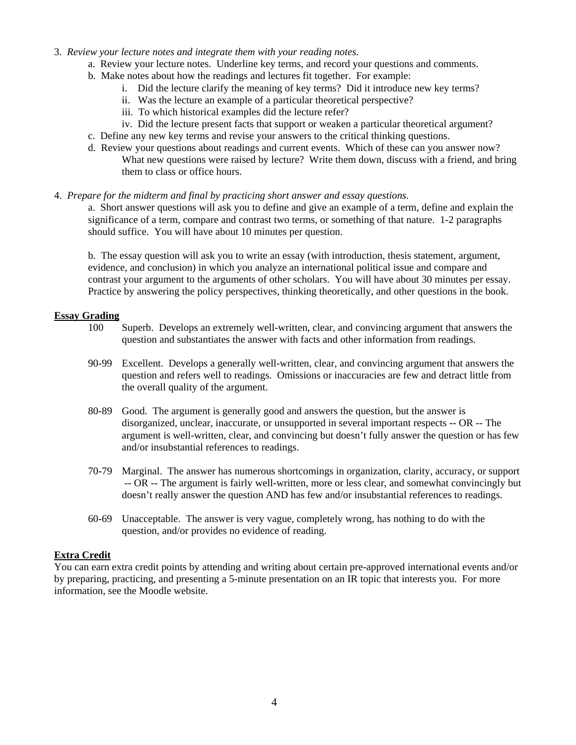- 3. *Review your lecture notes and integrate them with your reading notes.* 
	- a. Review your lecture notes. Underline key terms, and record your questions and comments.
	- b. Make notes about how the readings and lectures fit together. For example:
		- i. Did the lecture clarify the meaning of key terms? Did it introduce new key terms?
			- ii. Was the lecture an example of a particular theoretical perspective?
			- iii. To which historical examples did the lecture refer?
			- iv. Did the lecture present facts that support or weaken a particular theoretical argument?
	- c. Define any new key terms and revise your answers to the critical thinking questions.
	- d. Review your questions about readings and current events. Which of these can you answer now? What new questions were raised by lecture? Write them down, discuss with a friend, and bring them to class or office hours.
- 4. *Prepare for the midterm and final by practicing short answer and essay questions.*

a. Short answer questions will ask you to define and give an example of a term, define and explain the significance of a term, compare and contrast two terms, or something of that nature. 1-2 paragraphs should suffice. You will have about 10 minutes per question.

b. The essay question will ask you to write an essay (with introduction, thesis statement, argument, evidence, and conclusion) in which you analyze an international political issue and compare and contrast your argument to the arguments of other scholars. You will have about 30 minutes per essay. Practice by answering the policy perspectives, thinking theoretically, and other questions in the book.

#### **Essay Grading**

- 100 Superb. Develops an extremely well-written, clear, and convincing argument that answers the question and substantiates the answer with facts and other information from readings.
- 90-99 Excellent. Develops a generally well-written, clear, and convincing argument that answers the question and refers well to readings. Omissions or inaccuracies are few and detract little from the overall quality of the argument.
- 80-89 Good. The argument is generally good and answers the question, but the answer is disorganized, unclear, inaccurate, or unsupported in several important respects -- OR -- The argument is well-written, clear, and convincing but doesn't fully answer the question or has few and/or insubstantial references to readings.
- 70-79 Marginal. The answer has numerous shortcomings in organization, clarity, accuracy, or support -- OR -- The argument is fairly well-written, more or less clear, and somewhat convincingly but doesn't really answer the question AND has few and/or insubstantial references to readings.
- 60-69 Unacceptable. The answer is very vague, completely wrong, has nothing to do with the question, and/or provides no evidence of reading.

#### **Extra Credit**

You can earn extra credit points by attending and writing about certain pre-approved international events and/or by preparing, practicing, and presenting a 5-minute presentation on an IR topic that interests you. For more information, see the Moodle website.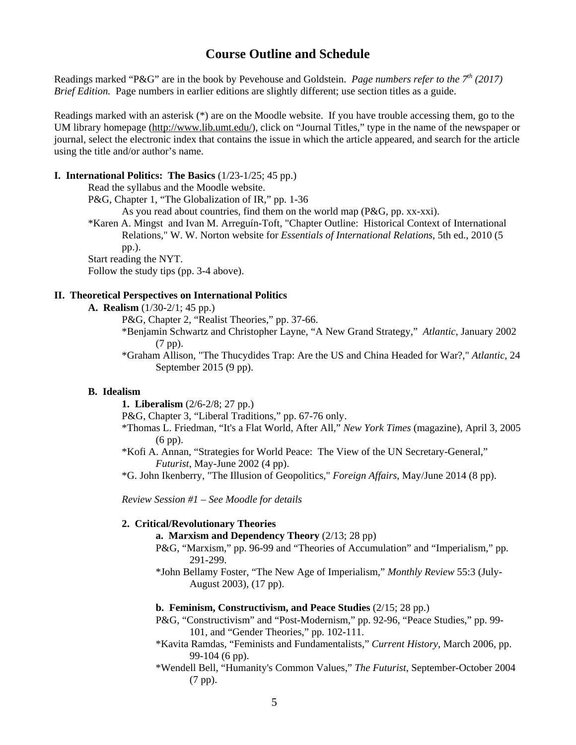## **Course Outline and Schedule**

Readings marked "P&G" are in the book by Pevehouse and Goldstein. *Page numbers refer to the 7th (2017) Brief Edition.* Page numbers in earlier editions are slightly different; use section titles as a guide.

 using the title and/or author's name. Readings marked with an asterisk (\*) are on the Moodle website. If you have trouble accessing them, go to the UM library homepage (http://www.lib.umt.edu/), click on "Journal Titles," type in the name of the newspaper or journal, select the electronic index that contains the issue in which the article appeared, and search for the article

#### **I. International Politics: The Basics** (1/23-1/25; 45 pp.)

Read the syllabus and the Moodle website.

P&G, Chapter 1, "The Globalization of IR," pp. 1-36

As you read about countries, find them on the world map (P&G, pp. xx-xxi).

\*Karen A. Mingst and Ivan M. Arreguín-Toft, "Chapter Outline: Historical Context of International Relations," W. W. Norton website for *Essentials of International Relations*, 5th ed., 2010 (5 pp.).

Start reading the NYT.

Follow the study tips (pp. 3-4 above).

#### **II. Theoretical Perspectives on International Politics**

**A. Realism** (1/30-2/1; 45 pp.)

P&G, Chapter 2, "Realist Theories," pp. 37-66.

- \*Benjamin Schwartz and Christopher Layne, "A New Grand Strategy," *Atlantic*, January 2002 (7 pp).
- \*Graham Allison, "The Thucydides Trap: Are the US and China Headed for War?," *Atlantic*, 24 September 2015 (9 pp).

#### **B. Idealism**

**1. Liberalism** (2/6-2/8; 27 pp.)

P&G, Chapter 3, "Liberal Traditions," pp. 67-76 only.

- \*Thomas L. Friedman, "It's a Flat World, After All," *New York Times* (magazine), April 3, 2005 (6 pp).
- \*Kofi A. Annan, "Strategies for World Peace: The View of the UN Secretary-General," *Futurist*, May-June 2002 (4 pp).

\*G. John Ikenberry, "The Illusion of Geopolitics," *Foreign Affairs*, May/June 2014 (8 pp).

*Review Session #1 – See Moodle for details* 

#### **2. Critical/Revolutionary Theories**

**a. Marxism and Dependency Theory** (2/13; 28 pp)

- P&G, "Marxism," pp. 96-99 and "Theories of Accumulation" and "Imperialism," pp. 291-299.
- \*John Bellamy Foster, "The New Age of Imperialism," *Monthly Review* 55:3 (July-August 2003), (17 pp).

#### **b. Feminism, Constructivism, and Peace Studies** (2/15; 28 pp.)

- P&G, "Constructivism" and "Post-Modernism," pp. 92-96, "Peace Studies," pp. 99 101, and "Gender Theories," pp. 102-111.
- \*Kavita Ramdas, "Feminists and Fundamentalists," *Current History*, March 2006, pp. 99-104 (6 pp).
- \*Wendell Bell, "Humanity's Common Values," *The Futurist*, September-October 2004 (7 pp).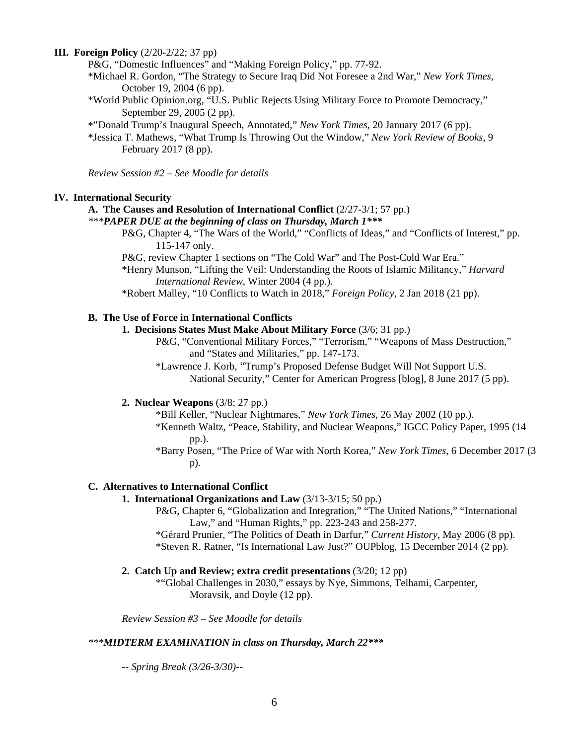#### **III. Foreign Policy** (2/20-2/22; 37 pp)

P&G, "Domestic Influences" and "Making Foreign Policy," pp. 77-92.

- \*Michael R. Gordon, "The Strategy to Secure Iraq Did Not Foresee a 2nd War," *New York Times*, October 19, 2004 (6 pp).
- \*World Public Opinion.org, "U.S. Public Rejects Using Military Force to Promote Democracy," September 29, 2005 (2 pp).
- \*"Donald Trump's Inaugural Speech, Annotated," *New York Times*, 20 January 2017 (6 pp).
- \*Jessica T. Mathews, "What Trump Is Throwing Out the Window," *New York Review of Books*, 9 February 2017 (8 pp).

*Review Session #2 – See Moodle for details* 

#### **IV. International Security**

#### **A. The Causes and Resolution of International Conflict** (2/27-3/1; 57 pp.)

- *\*\*\*PAPER DUE at the beginning of class on Thursday, March 1\*\*\** 
	- P&G, Chapter 4, "The Wars of the World," "Conflicts of Ideas," and "Conflicts of Interest," pp. 115-147 only.
	- P&G, review Chapter 1 sections on "The Cold War" and The Post-Cold War Era."
	- \*Henry Munson, "Lifting the Veil: Understanding the Roots of Islamic Militancy," *Harvard International Review*, Winter 2004 (4 pp.).

\*Robert Malley, "10 Conflicts to Watch in 2018," *Foreign Policy*, 2 Jan 2018 (21 pp).

#### **B. The Use of Force in International Conflicts**

- **1. Decisions States Must Make About Military Force** (3/6; 31 pp.)
	- P&G, "Conventional Military Forces," "Terrorism," "Weapons of Mass Destruction," and "States and Militaries," pp. 147-173.
	- \*Lawrence J. Korb, "Trump's Proposed Defense Budget Will Not Support U.S. National Security," Center for American Progress [blog], 8 June 2017 (5 pp).

#### **2. Nuclear Weapons** (3/8; 27 pp.)

- \*Bill Keller, "Nuclear Nightmares," *New York Times*, 26 May 2002 (10 pp.). \*Kenneth Waltz, "Peace, Stability, and Nuclear Weapons," IGCC Policy Paper, 1995 (14 pp.).
- \*Barry Posen, "The Price of War with North Korea," *New York Times*, 6 December 2017 (3 p).

#### **C. Alternatives to International Conflict**

#### **1. International Organizations and Law** (3/13-3/15; 50 pp.)

- P&G, Chapter 6, "Globalization and Integration," "The United Nations," "International Law," and "Human Rights," pp. 223-243 and 258-277.
- \*Gérard Prunier, "The Politics of Death in Darfur," *Current History*, May 2006 (8 pp). \*Steven R. Ratner, "Is International Law Just?" OUPblog, 15 December 2014 (2 pp).
- **2. Catch Up and Review; extra credit presentations** (3/20; 12 pp)

\*"Global Challenges in 2030," essays by Nye, Simmons, Telhami, Carpenter, Moravsik, and Doyle (12 pp).

*Review Session #3 – See Moodle for details* 

#### *\*\*\*MIDTERM EXAMINATION in class on Thursday, March 22\*\*\**

*-- Spring Break (3/26-3/30)--*